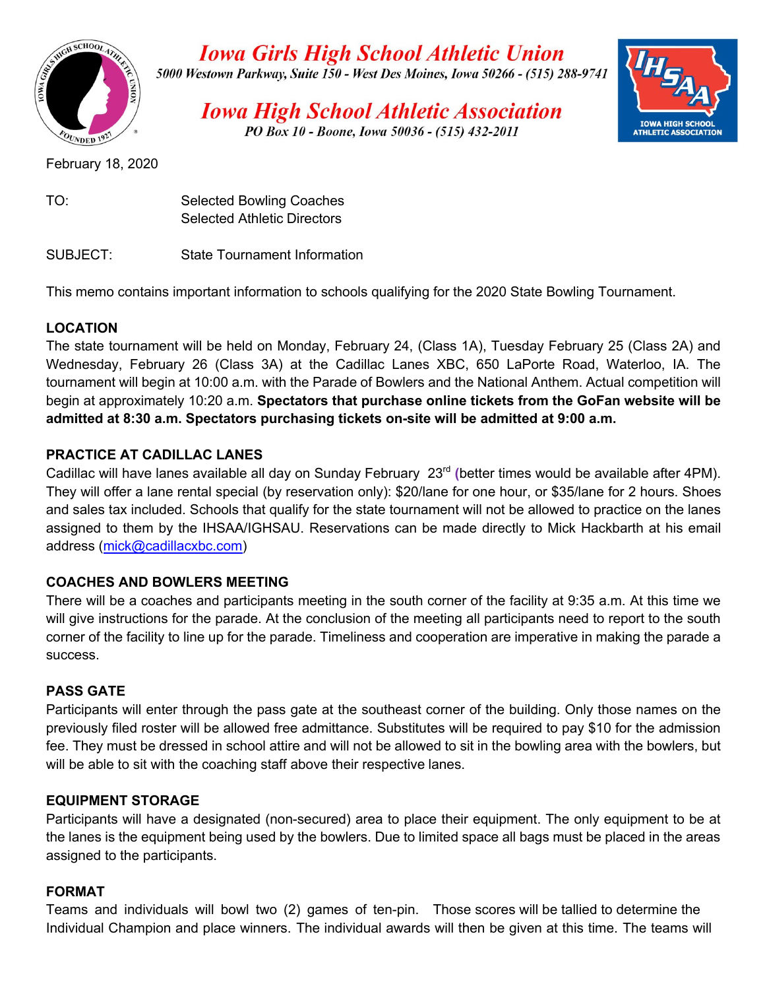

**Iowa Girls High School Athletic Union** 5000 Westown Parkway, Suite 150 - West Des Moines, Iowa 50266 - (515) 288-9741

**Iowa High School Athletic Association** PO Box 10 - Boone, Iowa 50036 - (515) 432-2011



February 18, 2020

| TO: | <b>Selected Bowling Coaches</b>    |
|-----|------------------------------------|
|     | <b>Selected Athletic Directors</b> |

SUBJECT: State Tournament Information

This memo contains important information to schools qualifying for the 2020 State Bowling Tournament.

# **LOCATION**

The state tournament will be held on Monday, February 24, (Class 1A), Tuesday February 25 (Class 2A) and Wednesday, February 26 (Class 3A) at the Cadillac Lanes XBC, 650 LaPorte Road, Waterloo, IA. The tournament will begin at 10:00 a.m. with the Parade of Bowlers and the National Anthem. Actual competition will begin at approximately 10:20 a.m. **Spectators that purchase online tickets from the GoFan website will be admitted at 8:30 a.m. Spectators purchasing tickets on-site will be admitted at 9:00 a.m.**

## **PRACTICE AT CADILLAC LANES**

Cadillac will have lanes available all day on Sunday February 23<sup>rd</sup> (better times would be available after 4PM). They will offer a lane rental special (by reservation only): \$20/lane for one hour, or \$35/lane for 2 hours. Shoes and sales tax included. Schools that qualify for the state tournament will not be allowed to practice on the lanes assigned to them by the IHSAA/IGHSAU. Reservations can be made directly to Mick Hackbarth at his email address (mick@cadillacxbc.com)

## **COACHES AND BOWLERS MEETING**

There will be a coaches and participants meeting in the south corner of the facility at 9:35 a.m. At this time we will give instructions for the parade. At the conclusion of the meeting all participants need to report to the south corner of the facility to line up for the parade. Timeliness and cooperation are imperative in making the parade a success.

## **PASS GATE**

Participants will enter through the pass gate at the southeast corner of the building. Only those names on the previously filed roster will be allowed free admittance. Substitutes will be required to pay \$10 for the admission fee. They must be dressed in school attire and will not be allowed to sit in the bowling area with the bowlers, but will be able to sit with the coaching staff above their respective lanes.

# **EQUIPMENT STORAGE**

Participants will have a designated (non-secured) area to place their equipment. The only equipment to be at the lanes is the equipment being used by the bowlers. Due to limited space all bags must be placed in the areas assigned to the participants.

## **FORMAT**

Teams and individuals will bowl two (2) games of ten-pin. Those scores will be tallied to determine the Individual Champion and place winners. The individual awards will then be given at this time. The teams will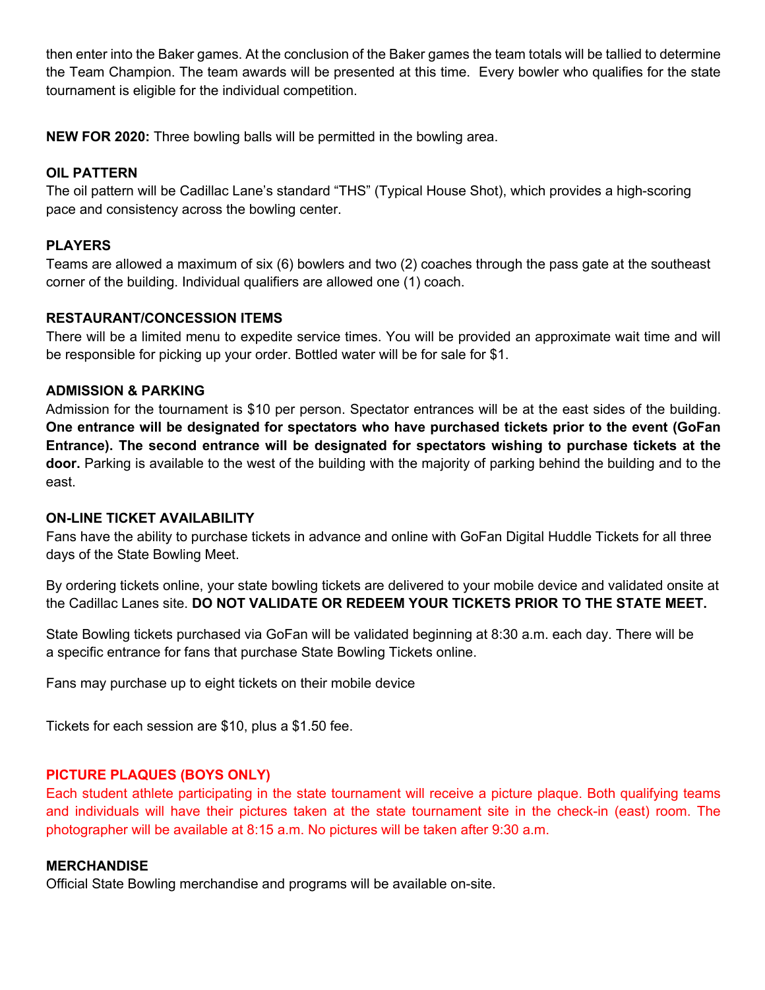then enter into the Baker games. At the conclusion of the Baker games the team totals will be tallied to determine the Team Champion. The team awards will be presented at this time. Every bowler who qualifies for the state tournament is eligible for the individual competition.

**NEW FOR 2020:** Three bowling balls will be permitted in the bowling area.

## **OIL PATTERN**

The oil pattern will be Cadillac Lane's standard "THS" (Typical House Shot), which provides a high-scoring pace and consistency across the bowling center.

## **PLAYERS**

Teams are allowed a maximum of six (6) bowlers and two (2) coaches through the pass gate at the southeast corner of the building. Individual qualifiers are allowed one (1) coach.

#### **RESTAURANT/CONCESSION ITEMS**

There will be a limited menu to expedite service times. You will be provided an approximate wait time and will be responsible for picking up your order. Bottled water will be for sale for \$1.

### **ADMISSION & PARKING**

Admission for the tournament is \$10 per person. Spectator entrances will be at the east sides of the building. **One entrance will be designated for spectators who have purchased tickets prior to the event (GoFan Entrance). The second entrance will be designated for spectators wishing to purchase tickets at the door.** Parking is available to the west of the building with the majority of parking behind the building and to the east.

#### **ON-LINE TICKET AVAILABILITY**

Fans have the ability to purchase tickets in advance and online with GoFan Digital Huddle Tickets for all three days of the State Bowling Meet.

By ordering tickets online, your state bowling tickets are delivered to your mobile device and validated onsite at the Cadillac Lanes site. **DO NOT VALIDATE OR REDEEM YOUR TICKETS PRIOR TO THE STATE MEET.**

State Bowling tickets purchased via GoFan will be validated beginning at 8:30 a.m. each day. There will be a specific entrance for fans that purchase State Bowling Tickets online.

Fans may purchase up to eight tickets on their mobile device

Tickets for each session are \$10, plus a \$1.50 fee.

## **PICTURE PLAQUES (BOYS ONLY)**

Each student athlete participating in the state tournament will receive a picture plaque. Both qualifying teams and individuals will have their pictures taken at the state tournament site in the check-in (east) room. The photographer will be available at 8:15 a.m. No pictures will be taken after 9:30 a.m.

#### **MERCHANDISE**

Official State Bowling merchandise and programs will be available on-site.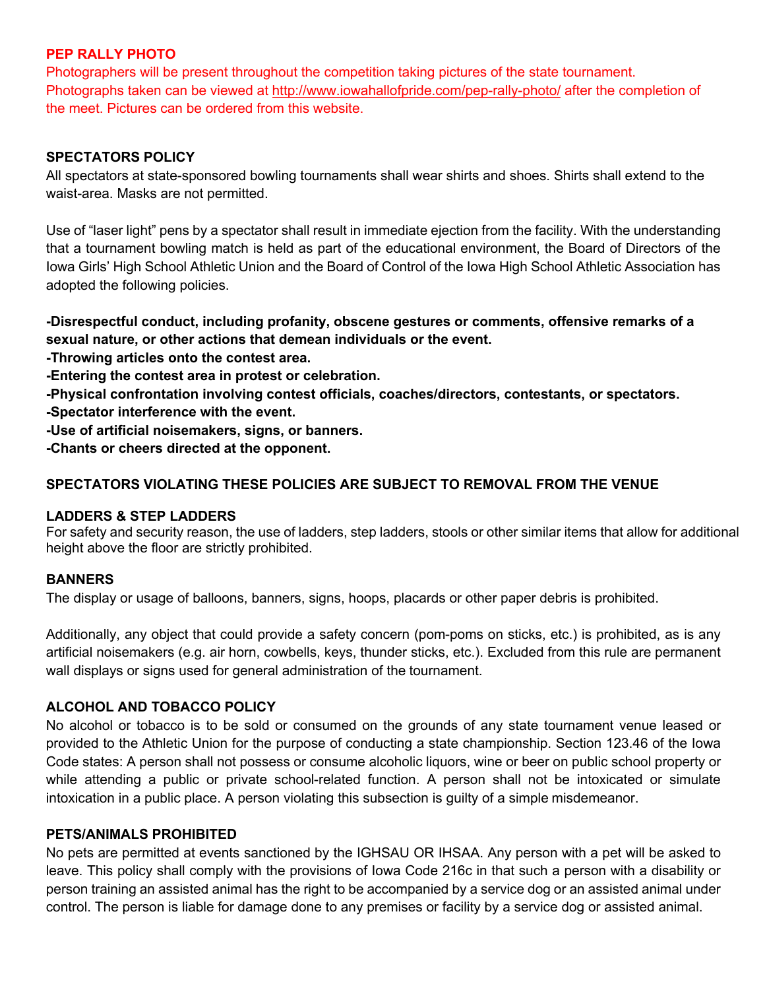## **PEP RALLY PHOTO**

Photographers will be present throughout the competition taking pictures of the state tournament. Photographs taken can be viewed at http://www.iowahallofpride.com/pep-rally-photo/ after the completion of the meet. Pictures can be ordered from this website.

#### **SPECTATORS POLICY**

All spectators at state-sponsored bowling tournaments shall wear shirts and shoes. Shirts shall extend to the waist-area. Masks are not permitted.

Use of "laser light" pens by a spectator shall result in immediate ejection from the facility. With the understanding that a tournament bowling match is held as part of the educational environment, the Board of Directors of the Iowa Girls' High School Athletic Union and the Board of Control of the Iowa High School Athletic Association has adopted the following policies.

**-Disrespectful conduct, including profanity, obscene gestures or comments, offensive remarks of a sexual nature, or other actions that demean individuals or the event.**

**-Throwing articles onto the contest area.**

**-Entering the contest area in protest or celebration.**

**-Physical confrontation involving contest officials, coaches/directors, contestants, or spectators.**

**-Spectator interference with the event.**

**-Use of artificial noisemakers, signs, or banners.**

**-Chants or cheers directed at the opponent.**

### **SPECTATORS VIOLATING THESE POLICIES ARE SUBJECT TO REMOVAL FROM THE VENUE**

#### **LADDERS & STEP LADDERS**

For safety and security reason, the use of ladders, step ladders, stools or other similar items that allow for additional height above the floor are strictly prohibited.

#### **BANNERS**

The display or usage of balloons, banners, signs, hoops, placards or other paper debris is prohibited.

Additionally, any object that could provide a safety concern (pom-poms on sticks, etc.) is prohibited, as is any artificial noisemakers (e.g. air horn, cowbells, keys, thunder sticks, etc.). Excluded from this rule are permanent wall displays or signs used for general administration of the tournament.

#### **ALCOHOL AND TOBACCO POLICY**

No alcohol or tobacco is to be sold or consumed on the grounds of any state tournament venue leased or provided to the Athletic Union for the purpose of conducting a state championship. Section 123.46 of the Iowa Code states: A person shall not possess or consume alcoholic liquors, wine or beer on public school property or while attending a public or private school-related function. A person shall not be intoxicated or simulate intoxication in a public place. A person violating this subsection is guilty of a simple misdemeanor.

#### **PETS/ANIMALS PROHIBITED**

No pets are permitted at events sanctioned by the IGHSAU OR IHSAA. Any person with a pet will be asked to leave. This policy shall comply with the provisions of Iowa Code 216c in that such a person with a disability or person training an assisted animal has the right to be accompanied by a service dog or an assisted animal under control. The person is liable for damage done to any premises or facility by a service dog or assisted animal.